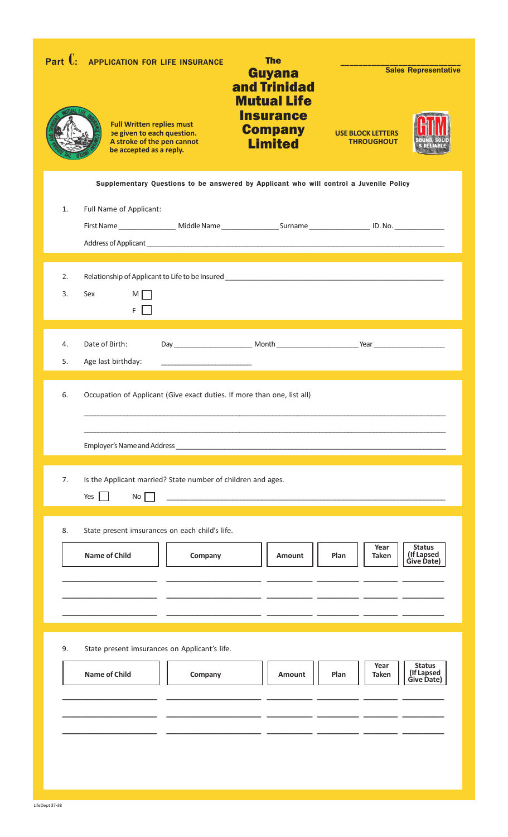| Part $\mathbf{C}$ | <b>APPLICATION FOR LIFE INSURANCE</b><br><b>Full Written replies must</b><br>be given to each question.<br>A stroke of the pen cannot<br>be accepted as a reply. | <b>The</b><br><b>Guyana</b><br>and Trinidad<br><b>Mutual Life</b><br><b>Insurance</b><br><b>Company</b><br><b>Limited</b> | <b>Sales Representative</b><br><b>USE BLOCK LETTERS</b><br><b>THROUGHOUT</b> |
|-------------------|------------------------------------------------------------------------------------------------------------------------------------------------------------------|---------------------------------------------------------------------------------------------------------------------------|------------------------------------------------------------------------------|
| 1.                | Supplementary Questions to be answered by Applicant who will control a Juvenile Policy<br>Full Name of Applicant:                                                |                                                                                                                           |                                                                              |
| 2.<br>3.          | Relationship of Applicant to Life to be Insured _________________________________<br>Sex<br>M I<br>F.                                                            |                                                                                                                           |                                                                              |
| 4.<br>5.          | Date of Birth:<br>Age last birthday:                                                                                                                             |                                                                                                                           |                                                                              |
| 6.                | Occupation of Applicant (Give exact duties. If more than one, list all)                                                                                          |                                                                                                                           |                                                                              |
| 7.                | Is the Applicant married? State number of children and ages.<br>No<br>Yes                                                                                        | <u> 1980 - Johann Barn, mars ann an t-Amhain ann an t-Amhain an t-Amhain ann an t-Amhain an t-Amhain ann an t-Amh</u>     |                                                                              |
| 8.                | State present imsurances on each child's life.<br><b>Name of Child</b><br>Company                                                                                | Amount                                                                                                                    | <b>Status</b><br>Year<br>(If Lapsed<br>Give Date)<br>Plan<br><b>Taken</b>    |
| 9.                | State present imsurances on Applicant's life.<br><b>Name of Child</b><br>Company                                                                                 | Amount                                                                                                                    | <b>Status</b><br>Year<br>(If Lapsed<br>Give Date)<br>Plan<br><b>Taken</b>    |
|                   |                                                                                                                                                                  |                                                                                                                           |                                                                              |